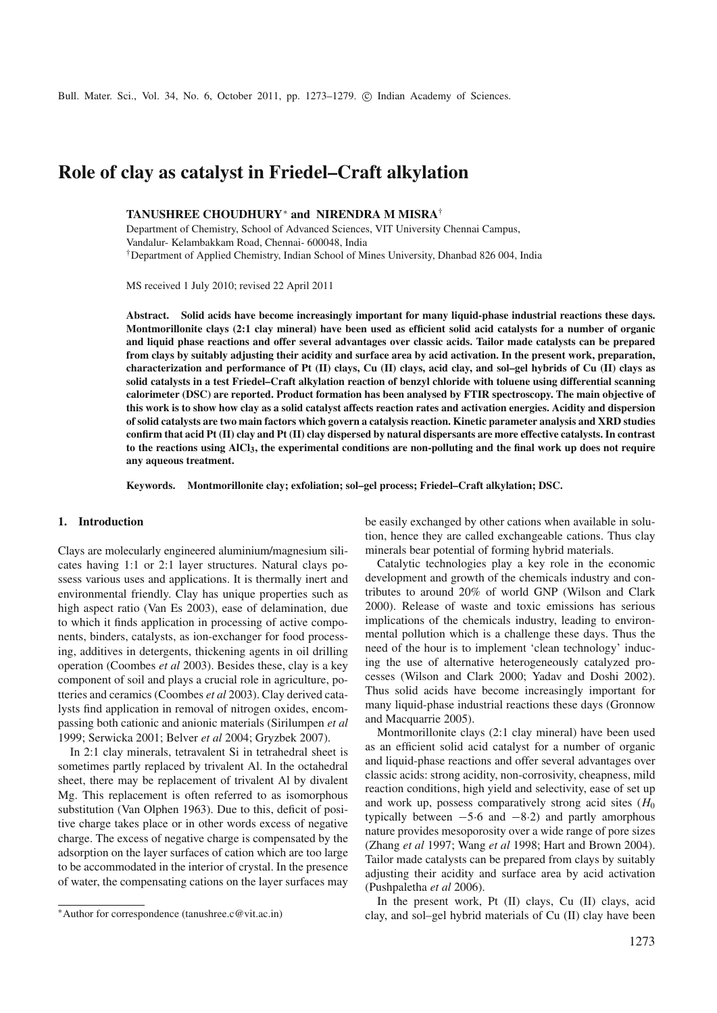# **Role of clay as catalyst in Friedel–Craft alkylation**

**TANUSHREE CHOUDHURY**<sup>∗</sup> **and NIRENDRA M MISRA**†

Department of Chemistry, School of Advanced Sciences, VIT University Chennai Campus, Vandalur- Kelambakkam Road, Chennai- 600048, India †Department of Applied Chemistry, Indian School of Mines University, Dhanbad 826 004, India

MS received 1 July 2010; revised 22 April 2011

**Abstract. Solid acids have become increasingly important for many liquid-phase industrial reactions these days. Montmorillonite clays (2:1 clay mineral) have been used as efficient solid acid catalysts for a number of organic and liquid phase reactions and offer several advantages over classic acids. Tailor made catalysts can be prepared from clays by suitably adjusting their acidity and surface area by acid activation. In the present work, preparation, characterization and performance of Pt (II) clays, Cu (II) clays, acid clay, and sol–gel hybrids of Cu (II) clays as solid catalysts in a test Friedel–Craft alkylation reaction of benzyl chloride with toluene using differential scanning calorimeter (DSC) are reported. Product formation has been analysed by FTIR spectroscopy. The main objective of this work is to show how clay as a solid catalyst affects reaction rates and activation energies. Acidity and dispersion of solid catalysts are two main factors which govern a catalysis reaction. Kinetic parameter analysis and XRD studies confirm that acid Pt (II) clay and Pt (II) clay dispersed by natural dispersants are more effective catalysts. In contrast to the reactions using AlCl3, the experimental conditions are non-polluting and the final work up does not require any aqueous treatment.**

**Keywords. Montmorillonite clay; exfoliation; sol–gel process; Friedel–Craft alkylation; DSC.**

#### **1. Introduction**

Clays are molecularly engineered aluminium/magnesium silicates having 1:1 or 2:1 layer structures. Natural clays possess various uses and applications. It is thermally inert and environmental friendly. Clay has unique properties such as high aspect ratio (Van Es 2003), ease of delamination, due to which it finds application in processing of active components, binders, catalysts, as ion-exchanger for food processing, additives in detergents, thickening agents in oil drilling operation (Coombes *et al* 2003). Besides these, clay is a key component of soil and plays a crucial role in agriculture, potteries and ceramics (Coombes *et al* 2003). Clay derived catalysts find application in removal of nitrogen oxides, encompassing both cationic and anionic materials (Sirilumpen *et al* 1999; Serwicka 2001; Belver *et al* 2004; Gryzbek 2007).

In 2:1 clay minerals, tetravalent Si in tetrahedral sheet is sometimes partly replaced by trivalent Al. In the octahedral sheet, there may be replacement of trivalent Al by divalent Mg. This replacement is often referred to as isomorphous substitution (Van Olphen 1963). Due to this, deficit of positive charge takes place or in other words excess of negative charge. The excess of negative charge is compensated by the adsorption on the layer surfaces of cation which are too large to be accommodated in the interior of crystal. In the presence of water, the compensating cations on the layer surfaces may be easily exchanged by other cations when available in solution, hence they are called exchangeable cations. Thus clay minerals bear potential of forming hybrid materials.

Catalytic technologies play a key role in the economic development and growth of the chemicals industry and contributes to around 20% of world GNP (Wilson and Clark 2000). Release of waste and toxic emissions has serious implications of the chemicals industry, leading to environmental pollution which is a challenge these days. Thus the need of the hour is to implement 'clean technology' inducing the use of alternative heterogeneously catalyzed processes (Wilson and Clark 2000; Yadav and Doshi 2002). Thus solid acids have become increasingly important for many liquid-phase industrial reactions these days (Gronnow and Macquarrie 2005).

Montmorillonite clays (2:1 clay mineral) have been used as an efficient solid acid catalyst for a number of organic and liquid-phase reactions and offer several advantages over classic acids: strong acidity, non-corrosivity, cheapness, mild reaction conditions, high yield and selectivity, ease of set up and work up, possess comparatively strong acid sites  $(H_0)$ typically between  $-5.6$  and  $-8.2$ ) and partly amorphous nature provides mesoporosity over a wide range of pore sizes (Zhang *et al* 1997; Wang *et al* 1998; Hart and Brown 2004). Tailor made catalysts can be prepared from clays by suitably adjusting their acidity and surface area by acid activation (Pushpaletha *et al* 2006).

In the present work, Pt (II) clays, Cu (II) clays, acid clay, and sol–gel hybrid materials of Cu (II) clay have been

<sup>∗</sup>Author for correspondence (tanushree.c@vit.ac.in)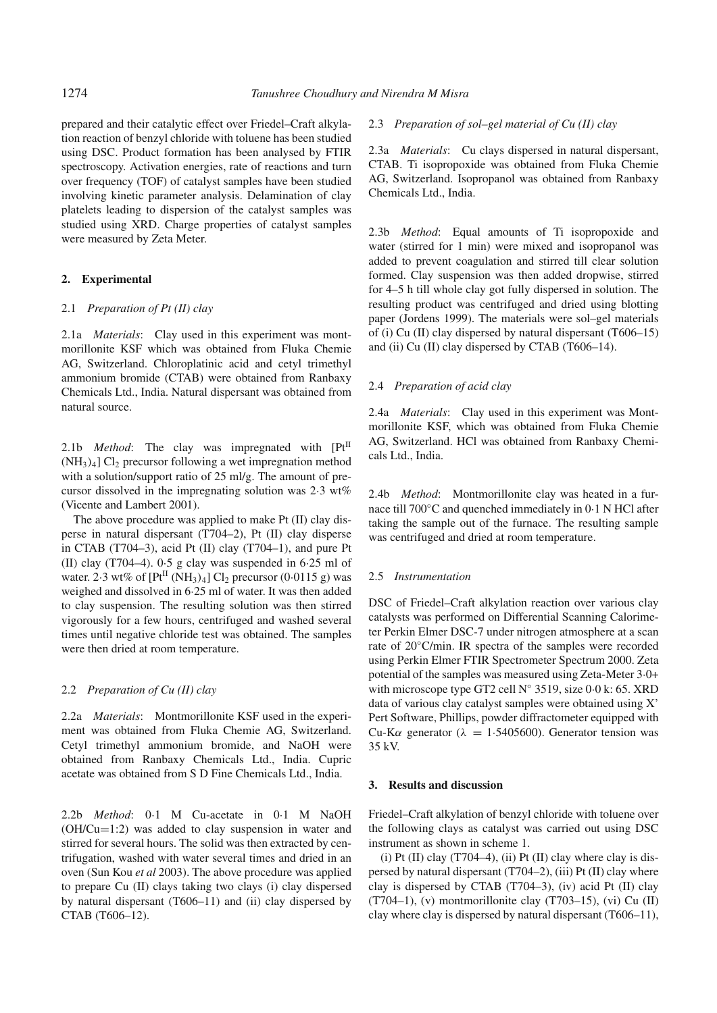prepared and their catalytic effect over Friedel–Craft alkylation reaction of benzyl chloride with toluene has been studied using DSC. Product formation has been analysed by FTIR spectroscopy. Activation energies, rate of reactions and turn over frequency (TOF) of catalyst samples have been studied involving kinetic parameter analysis. Delamination of clay platelets leading to dispersion of the catalyst samples was studied using XRD. Charge properties of catalyst samples were measured by Zeta Meter.

#### **2. Experimental**

# 2.1 *Preparation of Pt (II) clay*

2.1a *Materials*: Clay used in this experiment was montmorillonite KSF which was obtained from Fluka Chemie AG, Switzerland. Chloroplatinic acid and cetyl trimethyl ammonium bromide (CTAB) were obtained from Ranbaxy Chemicals Ltd., India. Natural dispersant was obtained from natural source.

2.1b *Method*: The clay was impregnated with [Pt<sup>II</sup>  $(NH_3)_4$ ] Cl<sub>2</sub> precursor following a wet impregnation method with a solution/support ratio of 25 ml/g. The amount of precursor dissolved in the impregnating solution was 2·3 wt% (Vicente and Lambert 2001).

The above procedure was applied to make Pt (II) clay disperse in natural dispersant (T704–2), Pt (II) clay disperse in CTAB (T704–3), acid Pt (II) clay (T704–1), and pure Pt (II) clay (T704–4). 0·5 g clay was suspended in 6·25 ml of water. 2.3 wt% of  $[Pt^{II} (NH<sub>3)</sub>)<sub>4</sub>]$  Cl<sub>2</sub> precursor (0.0115 g) was weighed and dissolved in 6·25 ml of water. It was then added to clay suspension. The resulting solution was then stirred vigorously for a few hours, centrifuged and washed several times until negative chloride test was obtained. The samples were then dried at room temperature.

# 2.2 *Preparation of Cu (II) clay*

2.2a *Materials*: Montmorillonite KSF used in the experiment was obtained from Fluka Chemie AG, Switzerland. Cetyl trimethyl ammonium bromide, and NaOH were obtained from Ranbaxy Chemicals Ltd., India. Cupric acetate was obtained from S D Fine Chemicals Ltd., India.

2.2b *Method*: 0·1 M Cu-acetate in 0·1 M NaOH (OH/Cu=1:2) was added to clay suspension in water and stirred for several hours. The solid was then extracted by centrifugation, washed with water several times and dried in an oven (Sun Kou *et al* 2003). The above procedure was applied to prepare Cu (II) clays taking two clays (i) clay dispersed by natural dispersant (T606–11) and (ii) clay dispersed by CTAB (T606–12).

2.3 *Preparation of sol–gel material of Cu (II) clay*

2.3a *Materials*: Cu clays dispersed in natural dispersant, CTAB. Ti isopropoxide was obtained from Fluka Chemie AG, Switzerland. Isopropanol was obtained from Ranbaxy Chemicals Ltd., India.

2.3b *Method*: Equal amounts of Ti isopropoxide and water (stirred for 1 min) were mixed and isopropanol was added to prevent coagulation and stirred till clear solution formed. Clay suspension was then added dropwise, stirred for 4–5 h till whole clay got fully dispersed in solution. The resulting product was centrifuged and dried using blotting paper (Jordens 1999). The materials were sol–gel materials of (i) Cu (II) clay dispersed by natural dispersant (T606–15) and (ii) Cu (II) clay dispersed by CTAB (T606–14).

### 2.4 *Preparation of acid clay*

2.4a *Materials*: Clay used in this experiment was Montmorillonite KSF, which was obtained from Fluka Chemie AG, Switzerland. HCl was obtained from Ranbaxy Chemicals Ltd., India.

2.4b *Method*: Montmorillonite clay was heated in a furnace till 700◦C and quenched immediately in 0·1 N HCl after taking the sample out of the furnace. The resulting sample was centrifuged and dried at room temperature.

#### 2.5 *Instrumentation*

DSC of Friedel–Craft alkylation reaction over various clay catalysts was performed on Differential Scanning Calorimeter Perkin Elmer DSC-7 under nitrogen atmosphere at a scan rate of 20◦C/min. IR spectra of the samples were recorded using Perkin Elmer FTIR Spectrometer Spectrum 2000. Zeta potential of the samples was measured using Zeta-Meter 3·0+ with microscope type GT2 cell N◦ 3519, size 0·0 k: 65. XRD data of various clay catalyst samples were obtained using X' Pert Software, Phillips, powder diffractometer equipped with Cu-K $\alpha$  generator ( $\lambda = 1.5405600$ ). Generator tension was 35 kV.

#### **3. Results and discussion**

Friedel–Craft alkylation of benzyl chloride with toluene over the following clays as catalyst was carried out using DSC instrument as shown in scheme 1.

(i) Pt (II) clay (T704–4), (ii) Pt (II) clay where clay is dispersed by natural dispersant (T704–2), (iii) Pt (II) clay where clay is dispersed by CTAB (T704–3), (iv) acid Pt (II) clay (T704–1), (v) montmorillonite clay (T703–15), (vi) Cu (II) clay where clay is dispersed by natural dispersant (T606–11),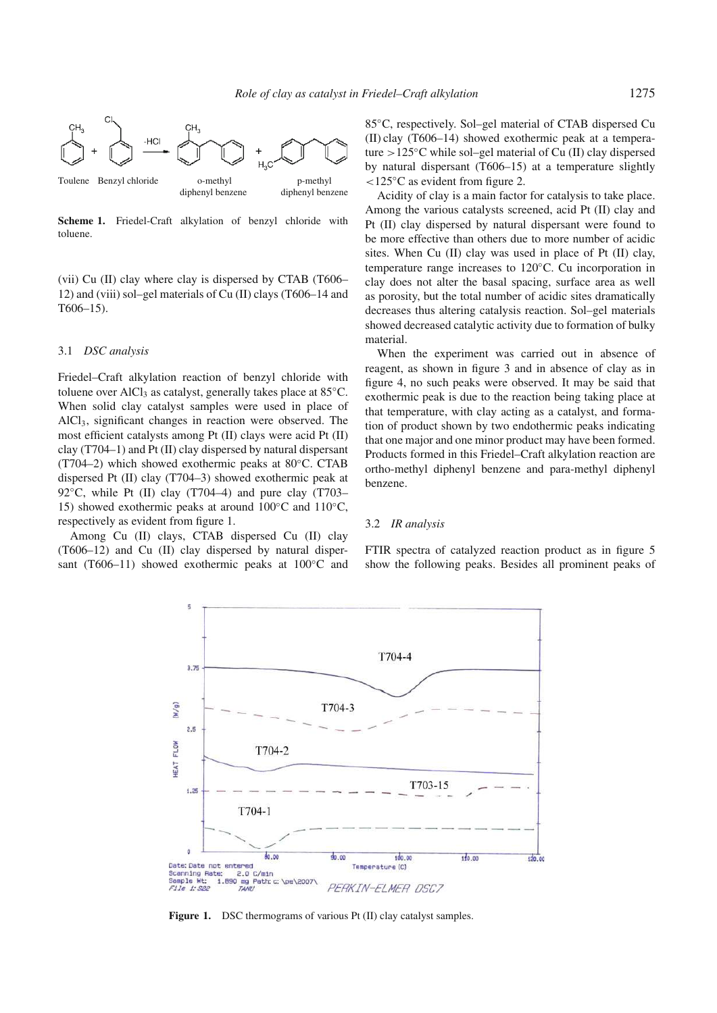

**Scheme 1.** Friedel-Craft alkylation of benzyl chloride with toluene.

(vii) Cu (II) clay where clay is dispersed by CTAB (T606– 12) and (viii) sol–gel materials of Cu (II) clays (T606–14 and T606–15).

## 3.1 *DSC analysis*

Friedel–Craft alkylation reaction of benzyl chloride with toluene over AlCl<sub>3</sub> as catalyst, generally takes place at  $85^{\circ}$ C. When solid clay catalyst samples were used in place of AlCl3, significant changes in reaction were observed. The most efficient catalysts among Pt (II) clays were acid Pt (II) clay (T704–1) and Pt (II) clay dispersed by natural dispersant (T704–2) which showed exothermic peaks at 80◦C. CTAB dispersed Pt (II) clay (T704–3) showed exothermic peak at 92 $\degree$ C, while Pt (II) clay (T704–4) and pure clay (T703– 15) showed exothermic peaks at around  $100°C$  and  $110°C$ , respectively as evident from figure 1.

Among Cu (II) clays, CTAB dispersed Cu (II) clay (T606–12) and Cu (II) clay dispersed by natural dispersant (T606–11) showed exothermic peaks at 100<sup>°</sup>C and 85◦C, respectively. Sol–gel material of CTAB dispersed Cu (II) clay (T606–14) showed exothermic peak at a temperature >125 $°C$  while sol–gel material of Cu (II) clay dispersed by natural dispersant (T606–15) at a temperature slightly <125◦C as evident from figure 2.

Acidity of clay is a main factor for catalysis to take place. Among the various catalysts screened, acid Pt (II) clay and Pt (II) clay dispersed by natural dispersant were found to be more effective than others due to more number of acidic sites. When Cu (II) clay was used in place of Pt (II) clay, temperature range increases to 120◦C. Cu incorporation in clay does not alter the basal spacing, surface area as well as porosity, but the total number of acidic sites dramatically decreases thus altering catalysis reaction. Sol–gel materials showed decreased catalytic activity due to formation of bulky material.

When the experiment was carried out in absence of reagent, as shown in figure 3 and in absence of clay as in figure 4, no such peaks were observed. It may be said that exothermic peak is due to the reaction being taking place at that temperature, with clay acting as a catalyst, and formation of product shown by two endothermic peaks indicating that one major and one minor product may have been formed. Products formed in this Friedel–Craft alkylation reaction are ortho-methyl diphenyl benzene and para-methyl diphenyl benzene.

### 3.2 *IR analysis*

FTIR spectra of catalyzed reaction product as in figure 5 show the following peaks. Besides all prominent peaks of



**Figure 1.** DSC thermograms of various Pt (II) clay catalyst samples.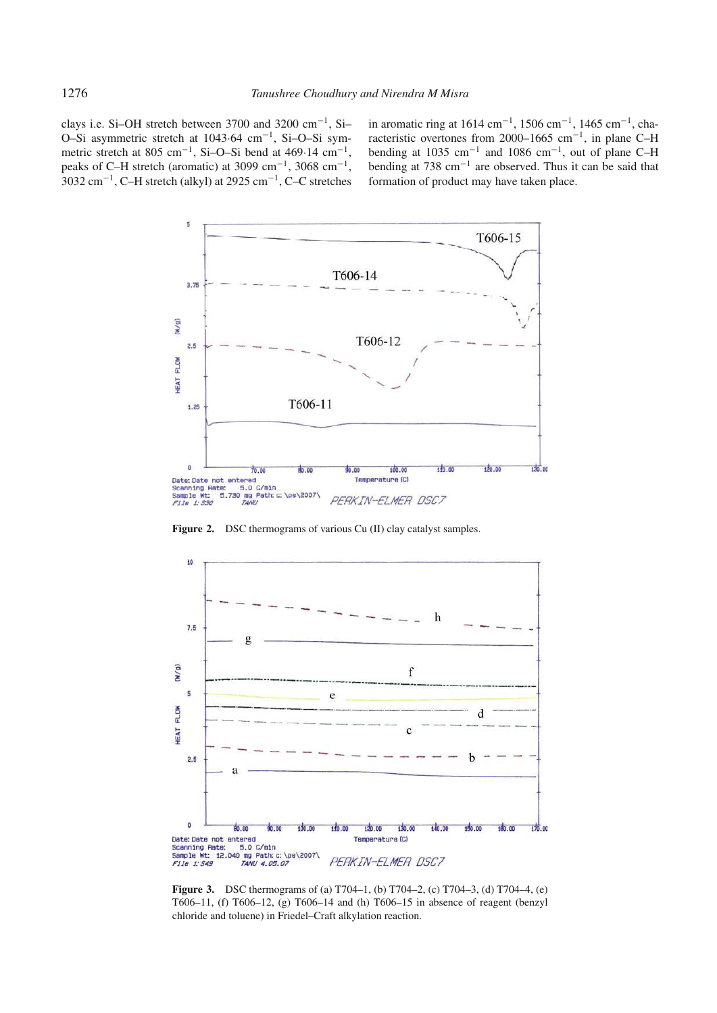clays i.e. Si–OH stretch between 3700 and 3200  $cm^{-1}$ , Si– O–Si asymmetric stretch at 1043·64 cm−<sup>1</sup> , Si–O–Si symmetric stretch at 805 cm<sup>-1</sup>, Si-O-Si bend at 469 $\cdot$ 14 cm<sup>-1</sup>, peaks of C–H stretch (aromatic) at 3099 cm<sup>-1</sup>, 3068 cm<sup>-1</sup>,  $3032 \text{ cm}^{-1}$ , C–H stretch (alkyl) at 2925 cm<sup>-1</sup>, C–C stretches

in aromatic ring at  $1614 \text{ cm}^{-1}$ ,  $1506 \text{ cm}^{-1}$ ,  $1465 \text{ cm}^{-1}$ , characteristic overtones from 2000–1665 cm−<sup>1</sup> , in plane C–H bending at 1035 cm<sup>-1</sup> and 1086 cm<sup>-1</sup>, out of plane C-H bending at 738 cm−<sup>1</sup> are observed. Thus it can be said that formation of product may have taken place.



**Figure 2.** DSC thermograms of various Cu (II) clay catalyst samples.



**Figure 3.** DSC thermograms of (a) T704–1, (b) T704–2, (c) T704–3, (d) T704–4, (e) T606–11, (f) T606–12, (g) T606–14 and (h) T606–15 in absence of reagent (benzyl chloride and toluene) in Friedel–Craft alkylation reaction.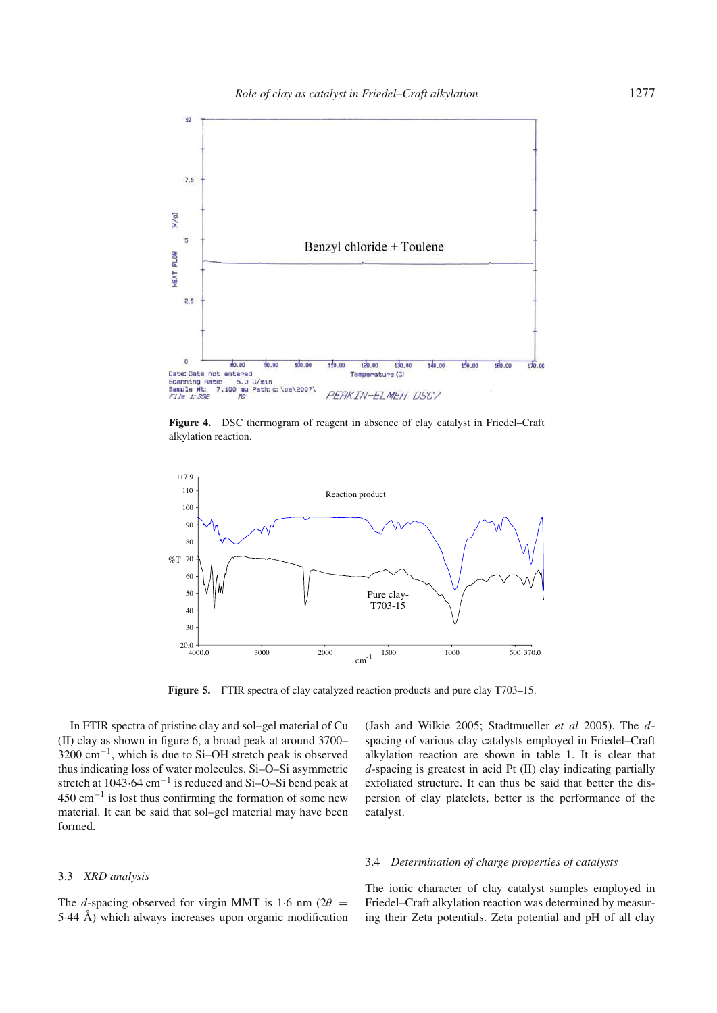

**Figure 4.** DSC thermogram of reagent in absence of clay catalyst in Friedel–Craft alkylation reaction.



**Figure 5.** FTIR spectra of clay catalyzed reaction products and pure clay T703–15.

In FTIR spectra of pristine clay and sol–gel material of Cu (II) clay as shown in figure 6, a broad peak at around 3700– 3200 cm<sup>−</sup><sup>1</sup> , which is due to Si–OH stretch peak is observed thus indicating loss of water molecules. Si–O–Si asymmetric stretch at 1043 $\cdot$ 64 cm<sup>-1</sup> is reduced and Si–O–Si bend peak at 450 cm<sup>−</sup><sup>1</sup> is lost thus confirming the formation of some new material. It can be said that sol–gel material may have been formed.

#### 3.3 *XRD analysis*

The *d*-spacing observed for virgin MMT is 1.6 nm ( $2\theta$  = 5·44 Å) which always increases upon organic modification

(Jash and Wilkie 2005; Stadtmueller *et al* 2005). The *d*spacing of various clay catalysts employed in Friedel–Craft alkylation reaction are shown in table 1. It is clear that *d*-spacing is greatest in acid Pt (II) clay indicating partially exfoliated structure. It can thus be said that better the dispersion of clay platelets, better is the performance of the catalyst.

## 3.4 *Determination of charge properties of catalysts*

The ionic character of clay catalyst samples employed in Friedel–Craft alkylation reaction was determined by measuring their Zeta potentials. Zeta potential and pH of all clay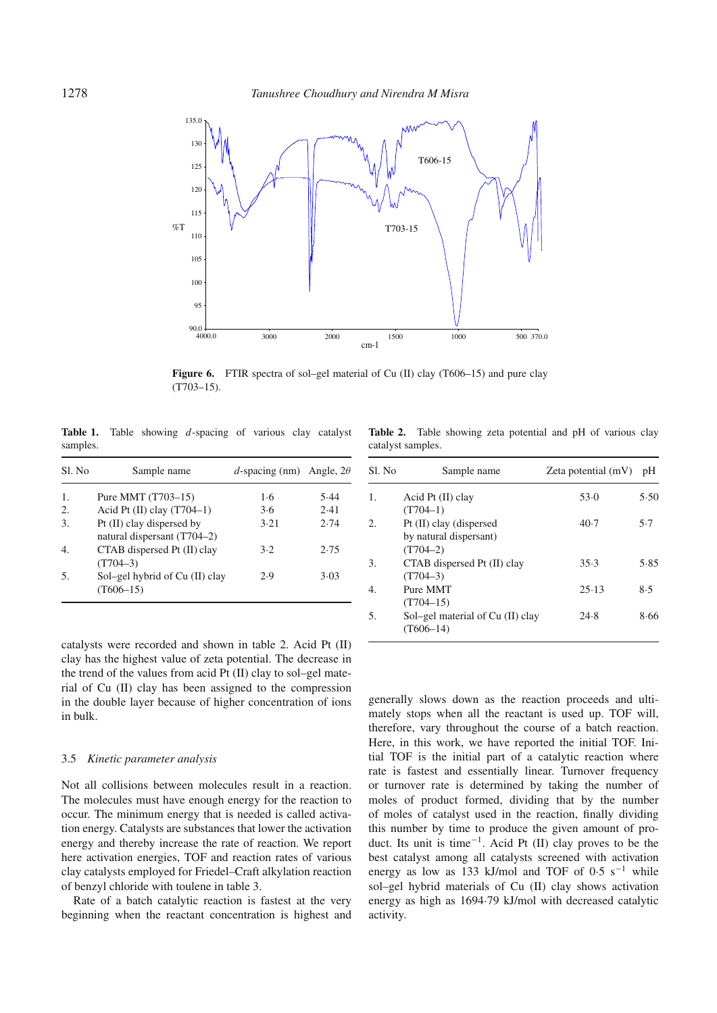

Figure 6. FTIR spectra of sol–gel material of Cu (II) clay (T606–15) and pure clay (T703–15).

**Table 1.** Table showing *d*-spacing of various clay catalyst samples.

| Sl. No | Sample name                                              | d-spacing (nm) Angle, $2\theta$ |      |
|--------|----------------------------------------------------------|---------------------------------|------|
| 1.     | Pure MMT (T703-15)                                       | 1.6                             | 5.44 |
| 2.     | Acid Pt $(II)$ clay $(T704-1)$                           | 3.6                             | 2.41 |
| 3.     | Pt (II) clay dispersed by<br>natural dispersant (T704–2) | 3.21                            | 2.74 |
| 4.     | CTAB dispersed Pt (II) clay<br>$(T704-3)$                | 3.2                             | 2.75 |
| .5.    | Sol-gel hybrid of Cu (II) clay<br>$(T606-15)$            | 2.9                             | 3.03 |

catalysts were recorded and shown in table 2. Acid Pt (II) clay has the highest value of zeta potential. The decrease in the trend of the values from acid Pt (II) clay to sol–gel material of Cu (II) clay has been assigned to the compression in the double layer because of higher concentration of ions in bulk.

#### 3.5 *Kinetic parameter analysis*

Not all collisions between molecules result in a reaction. The molecules must have enough energy for the reaction to occur. The minimum energy that is needed is called activation energy. Catalysts are substances that lower the activation energy and thereby increase the rate of reaction. We report here activation energies, TOF and reaction rates of various clay catalysts employed for Friedel–Craft alkylation reaction of benzyl chloride with toulene in table 3.

Rate of a batch catalytic reaction is fastest at the very beginning when the reactant concentration is highest and

**Table 2.** Table showing zeta potential and pH of various clay catalyst samples.

| Sl. No | Sample name                                                     | Zeta potential $(mV)$ | pH   |
|--------|-----------------------------------------------------------------|-----------------------|------|
| 1.     | Acid Pt $(II)$ clay<br>$(T704-1)$                               | 53.0                  | 5.50 |
| 2.     | Pt (II) clay (dispersed<br>by natural dispersant)<br>$(T704-2)$ | 40.7                  | 5.7  |
| 3.     | CTAB dispersed Pt (II) clay<br>$(T704-3)$                       | 35.3                  | 5.85 |
| 4.     | Pure MMT<br>$(T704-15)$                                         | 25.13                 | 8.5  |
| 5.     | Sol-gel material of Cu (II) clay<br>$(T606-14)$                 | 24.8                  | 8.66 |

generally slows down as the reaction proceeds and ultimately stops when all the reactant is used up. TOF will, therefore, vary throughout the course of a batch reaction. Here, in this work, we have reported the initial TOF. Initial TOF is the initial part of a catalytic reaction where rate is fastest and essentially linear. Turnover frequency or turnover rate is determined by taking the number of moles of product formed, dividing that by the number of moles of catalyst used in the reaction, finally dividing this number by time to produce the given amount of product. Its unit is time<sup>-1</sup>. Acid Pt (II) clay proves to be the best catalyst among all catalysts screened with activation energy as low as 133 kJ/mol and TOF of 0.5 s<sup>-1</sup> while sol–gel hybrid materials of Cu (II) clay shows activation energy as high as 1694·79 kJ/mol with decreased catalytic activity.